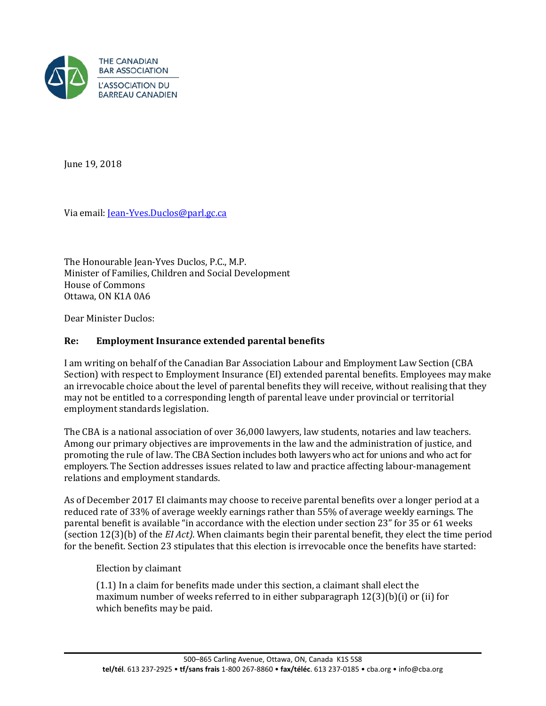

June 19, 2018

Via email: [Jean-Yves.Duclos@parl.gc.ca](mailto:Jean-Yves.Duclos@parl.gc.ca) 

The Honourable Jean-Yves Duclos, P.C., M.P. Minister of Families, Children and Social Development House of Commons Ottawa, ON K1A 0A6

Dear Minister Duclos:

## **Re: Employment Insurance extended parental benefits**

I am writing on behalf of the Canadian Bar Association Labour and Employment Law Section (CBA Section) with respect to Employment Insurance (EI) extended parental benefits. Employees may make an irrevocable choice about the level of parental benefits they will receive, without realising that they may not be entitled to a corresponding length of parental leave under provincial or territorial employment standards legislation.

The CBA is a national association of over 36,000 lawyers, law students, notaries and law teachers. Among our primary objectives are improvements in the law and the administration of justice, and promoting the rule of law. The CBA Section includes both lawyers who act for unions and who act for employers. The Section addresses issues related to law and practice affecting labour-management relations and employment standards.

As of December 2017 EI claimants may choose to receive parental benefits over a longer period at a reduced rate of 33% of average weekly earnings rather than 55% of average weekly earnings. The parental benefit is available "in accordance with the election under section 23" for 35 or 61 weeks (section 12(3)(b) of the *EI Act)*. When claimants begin their parental benefit, they elect the time period for the benefit. Section 23 stipulates that this election is irrevocable once the benefits have started:

Election by claimant

(1.1) In a claim for benefits made under this section, a claimant shall elect the maximum number of weeks referred to in either subparagraph  $12(3)(b)(i)$  or (ii) for which benefits may be paid.